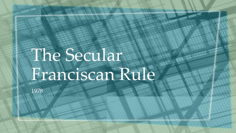# The Secular Franciscan Rule

**AREA** AREA DE

1978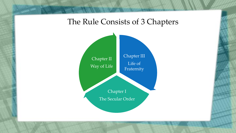#### The Rule Consists of 3 Chapters

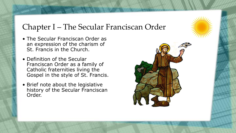# Chapter I – The Secular Franciscan Order

- The Secular Franciscan Order as an expression of the charism of St. Francis in the Church.
- Definition of the Secular Franciscan Order as a family of Catholic fraternities living the Gospel in the style of St. Francis.
- Brief note about the legislative history of the Secular Franciscan Order.

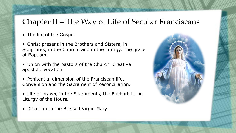### Chapter II – The Way of Life of Secular Franciscans

- The life of the Gospel.
- Christ present in the Brothers and Sisters, in Scriptures, in the Church, and in the Liturgy. The grace of Baptism.
- Union with the pastors of the Church. Creative apostolic vocation.
- Penitential dimension of the Franciscan life. Conversion and the Sacrament of Reconciliation.
- Life of prayer, in the Sacraments, the Eucharist, the Liturgy of the Hours.
- Devotion to the Blessed Virgin Mary.

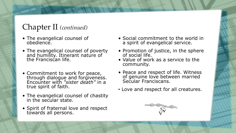# Chapter II *(continued)*

- The evangelical counsel of obedience.
- The evangelical counsel of poverty and humility. Itinerant nature of the Franciscan life.
- Commitment to work for peace, through dialogue and forgiveness. Encounter with *"sister death"* in a true spirit of faith.
- The evangelical counsel of chastity in the secular state.
- Spirit of fraternal love and respect towards all persons.
- Social commitment to the world in a spirit of evangelical service.
- Promotion of justice, in the sphere of social life.
- Value of work as a service to the community.
- Peace and respect of life. Witness of genuine love between married Secular Franciscans.
- Love and respect for all creatures.

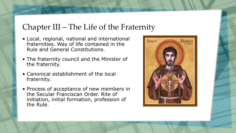#### Chapter III – The Life of the Fraternity

- Local, regional, national and international fraternities. Way of life contained in the Rule and General Constitutions.
- The fraternity council and the Minister of the fraternity.
- Canonical establishment of the local fraternity.
- Process of acceptance of new members in the Secular Franciscan Order. Rite of initiation, initial formation, profession of the Rule.